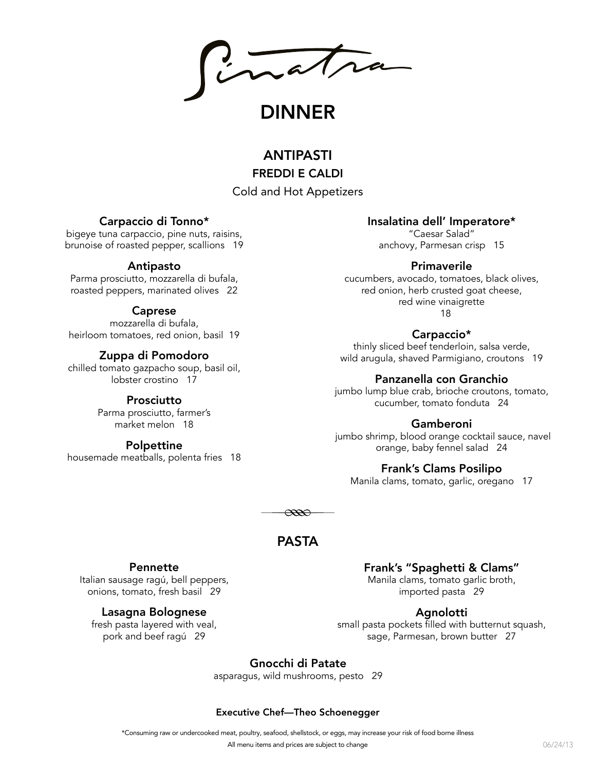inatra

DINNER

# ANTIPASTI FREDDI E CALDI

### Cold and Hot Appetizers

### Carpaccio di Tonno\*

bigeye tuna carpaccio, pine nuts, raisins, brunoise of roasted pepper, scallions 19

### Antipasto

Parma prosciutto, mozzarella di bufala, roasted peppers, marinated olives 22

### Caprese

mozzarella di bufala, heirloom tomatoes, red onion, basil 19

### Zuppa di Pomodoro

chilled tomato gazpacho soup, basil oil, lobster crostino 17

### Prosciutto

Parma prosciutto, farmer's market melon 18

### Polpettine

housemade meatballs, polenta fries 18

### Insalatina dell' Imperatore\*

"Caesar Salad" anchovy, Parmesan crisp 15

### Primaverile

cucumbers, avocado, tomatoes, black olives, red onion, herb crusted goat cheese, red wine vinaigrette 18

### Carpaccio\*

thinly sliced beef tenderloin, salsa verde, wild arugula, shaved Parmigiano, croutons 19

### Panzanella con Granchio

jumbo lump blue crab, brioche croutons, tomato, cucumber, tomato fonduta 24

### Gamberoni

 jumbo shrimp, blood orange cocktail sauce, navel orange, baby fennel salad 24

### Frank's Clams Posilipo

Manila clams, tomato, garlic, oregano 17

 $\infty$ 

## PASTA

### Pennette

Italian sausage ragú, bell peppers, onions, tomato, fresh basil 29

### Lasagna Bolognese

fresh pasta layered with veal, pork and beef ragú 29

Frank's "Spaghetti & Clams" Manila clams, tomato garlic broth, imported pasta 29

### Agnolotti

small pasta pockets filled with butternut squash, sage, Parmesan, brown butter 27

### Gnocchi di Patate

asparagus, wild mushrooms, pesto 29

### Executive Chef—Theo Schoenegger

\*Consuming raw or undercooked meat, poultry, seafood, shellstock, or eggs, may increase your risk of food borne illness